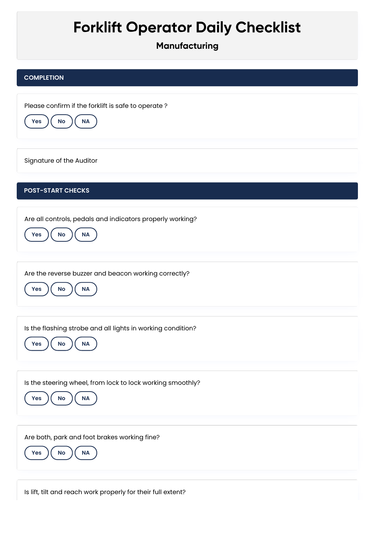## **Forklift Operator Daily Checklist**

**Manufacturing**

## **COMPLETION**

Please confirm if the forklift is safe to operate ?



Signature of the Auditor

## **POST-START CHECKS**

Are all controls, pedals and indicators properly working?



Are the reverse buzzer and beacon working correctly?



Is the flashing strobe and all lights in working condition?



Is the steering wheel, from lock to lock working smoothly?



Are both, park and foot brakes working fine?



Is lift, tilt and reach work properly for their full extent?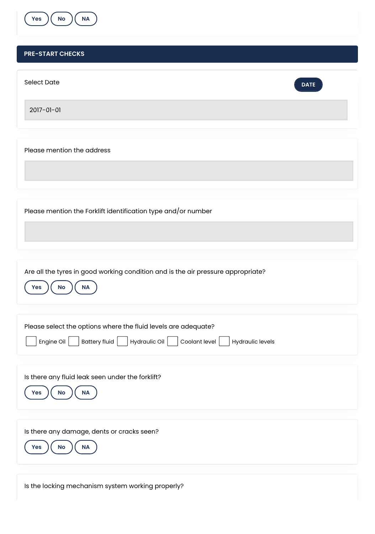

## **PRE-START CHECKS**

| <b>Select Date</b><br><b>DATE</b>                                                                |
|--------------------------------------------------------------------------------------------------|
| 2017-01-01                                                                                       |
|                                                                                                  |
| Please mention the address                                                                       |
|                                                                                                  |
|                                                                                                  |
| Please mention the Forklift identification type and/or number                                    |
|                                                                                                  |
|                                                                                                  |
| Are all the tyres in good working condition and is the air pressure appropriate?                 |
| <b>Yes</b><br>$\mathsf{No}$<br>$\sf NA$                                                          |
|                                                                                                  |
| Please select the options where the fluid levels are adequate?                                   |
| Battery fluid<br>Hydraulic Oil<br>Coolant level<br>Engine Oil $\vert$<br><b>Hydraulic levels</b> |
| Is there any fluid leak seen under the forklift?                                                 |
| $\mathsf{No}$<br>NA<br>Yes                                                                       |
|                                                                                                  |
| Is there any damage, dents or cracks seen?                                                       |
| Yes<br>$\mathsf{No}$<br>NA                                                                       |
|                                                                                                  |

Ń,

Is the locking mechanism system working properly?